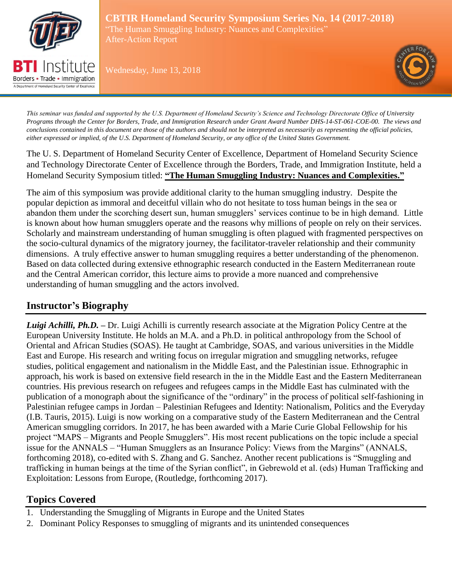

Borders • Trade • Immigration A Department of Homeland Security Center of Exceller

**CBTIR Homeland Security Symposium Series No. 14 (2017-2018)** "The Human Smuggling Industry: Nuances and Complexities" After-Action Report

Wednesday, June 13, 2018



*This seminar was funded and supported by the U.S. Department of Homeland Security's Science and Technology Directorate Office of University Programs through the Center for Borders, Trade, and Immigration Research under Grant Award Number DHS-14-ST-061-COE-00. The views and conclusions contained in this document are those of the authors and should not be interpreted as necessarily as representing the official policies, either expressed or implied, of the U.S. Department of Homeland Security, or any office of the United States Government.*

The U. S. Department of Homeland Security Center of Excellence, Department of Homeland Security Science and Technology Directorate Center of Excellence through the Borders, Trade, and Immigration Institute, held a Homeland Security Symposium titled: **"The Human Smuggling Industry: Nuances and Complexities."** 

The aim of this symposium was provide additional clarity to the human smuggling industry. Despite the popular depiction as immoral and deceitful villain who do not hesitate to toss human beings in the sea or abandon them under the scorching desert sun, human smugglers' services continue to be in high demand. Little is known about how human smugglers operate and the reasons why millions of people on rely on their services. Scholarly and mainstream understanding of human smuggling is often plagued with fragmented perspectives on the socio-cultural dynamics of the migratory journey, the facilitator-traveler relationship and their community dimensions. A truly effective answer to human smuggling requires a better understanding of the phenomenon. Based on data collected during extensive ethnographic research conducted in the Eastern Mediterranean route and the Central American corridor, this lecture aims to provide a more nuanced and comprehensive understanding of human smuggling and the actors involved.

# **Instructor's Biography**

*Luigi Achilli, Ph.D. –* Dr. Luigi Achilli is currently research associate at the Migration Policy Centre at the European University Institute. He holds an M.A. and a Ph.D. in political anthropology from the School of Oriental and African Studies (SOAS). He taught at Cambridge, SOAS, and various universities in the Middle East and Europe. His research and writing focus on irregular migration and smuggling networks, refugee studies, political engagement and nationalism in the Middle East, and the Palestinian issue. Ethnographic in approach, his work is based on extensive field research in the in the Middle East and the Eastern Mediterranean countries. His previous research on refugees and refugees camps in the Middle East has culminated with the publication of a monograph about the significance of the "ordinary" in the process of political self-fashioning in Palestinian refugee camps in Jordan – [Palestinian Refugees and Identity: Nationalism, Politics and the Everyday](http://bit.ly/1Lfeirf) (I.B. Tauris, 2015). Luigi is now working on a comparative study of the Eastern Mediterranean and the Central American smuggling corridors. In 2017, he has been awarded with a [Marie Curie Global Fellowship](http://bit.ly/23NkTBN) for his project "MAPS – Migrants and People Smugglers". His most recent publications on the topic include a special issue for the ANNALS – "Human Smugglers as an Insurance Policy: Views from the Margins" (ANNALS, forthcoming 2018), co-edited with S. Zhang and G. Sanchez. Another recent publications is "Smuggling and trafficking in human beings at the time of the Syrian conflict", in Gebrewold et al. (eds) Human Trafficking and Exploitation: Lessons from Europe, (Routledge, forthcoming 2017).

# **Topics Covered**

- 1. Understanding the Smuggling of Migrants in Europe and the United States
- 2. Dominant Policy Responses to smuggling of migrants and its unintended consequences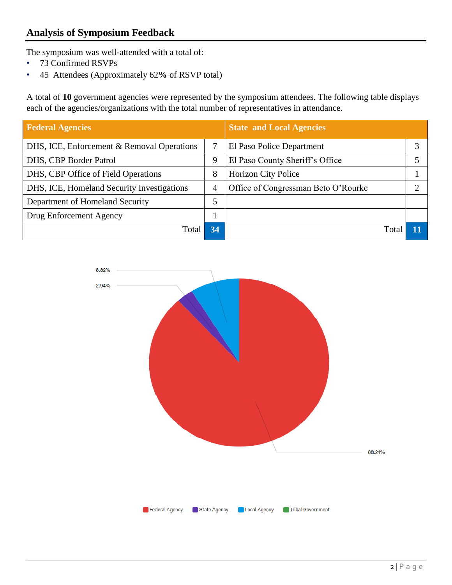## **Analysis of Symposium Feedback**

The symposium was well-attended with a total of:

- 73 Confirmed RSVPs
- 45 Attendees (Approximately 62**%** of RSVP total)

A total of **10** government agencies were represented by the symposium attendees. The following table displays each of the agencies/organizations with the total number of representatives in attendance.

| <b>Federal Agencies</b>                    |    | <b>State and Local Agencies</b>     |   |
|--------------------------------------------|----|-------------------------------------|---|
| DHS, ICE, Enforcement & Removal Operations |    | El Paso Police Department           | っ |
| DHS, CBP Border Patrol                     | 9  | El Paso County Sheriff's Office     |   |
| DHS, CBP Office of Field Operations        | 8  | <b>Horizon City Police</b>          |   |
| DHS, ICE, Homeland Security Investigations | 4  | Office of Congressman Beto O'Rourke |   |
| Department of Homeland Security            | 5  |                                     |   |
| Drug Enforcement Agency                    |    |                                     |   |
| Total                                      | 34 | Total                               |   |

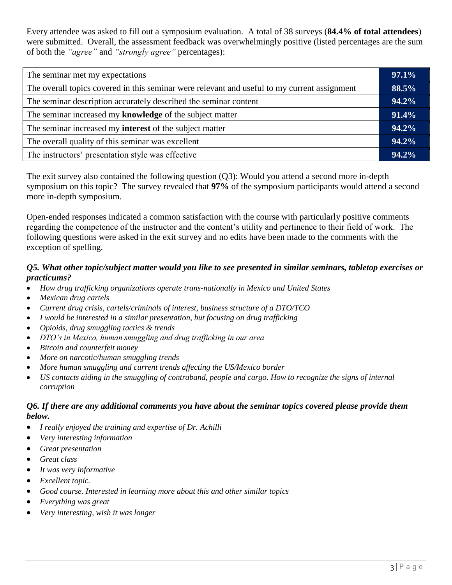Every attendee was asked to fill out a symposium evaluation. A total of 38 surveys (**84.4% of total attendees**) were submitted. Overall, the assessment feedback was overwhelmingly positive (listed percentages are the sum of both the *"agree"* and *"strongly agree"* percentages):

| The seminar met my expectations                                                              |  |
|----------------------------------------------------------------------------------------------|--|
| The overall topics covered in this seminar were relevant and useful to my current assignment |  |
| The seminar description accurately described the seminar content                             |  |
| The seminar increased my knowledge of the subject matter                                     |  |
| The seminar increased my <b>interest</b> of the subject matter                               |  |
| The overall quality of this seminar was excellent                                            |  |
| The instructors' presentation style was effective                                            |  |

The exit survey also contained the following question (Q3): Would you attend a second more in-depth symposium on this topic? The survey revealed that **97%** of the symposium participants would attend a second more in-depth symposium.

Open-ended responses indicated a common satisfaction with the course with particularly positive comments regarding the competence of the instructor and the content's utility and pertinence to their field of work. The following questions were asked in the exit survey and no edits have been made to the comments with the exception of spelling.

#### *Q5. What other topic/subject matter would you like to see presented in similar seminars, tabletop exercises or practicums?*

- *How drug trafficking organizations operate trans-nationally in Mexico and United States*
- *Mexican drug cartels*
- *Current drug crisis, cartels/criminals of interest, business structure of a DTO/TCO*
- *I would be interested in a similar presentation, but focusing on drug trafficking*
- *Opioids, drug smuggling tactics & trends*
- *DTO's in Mexico, human smuggling and drug trafficking in our area*
- *Bitcoin and counterfeit money*
- *More on narcotic/human smuggling trends*
- *More human smuggling and current trends affecting the US/Mexico border*
- *US contacts aiding in the smuggling of contraband, people and cargo. How to recognize the signs of internal corruption*

#### *Q6. If there are any additional comments you have about the seminar topics covered please provide them below.*

- *I really enjoyed the training and expertise of Dr. Achilli*
- *Very interesting information*
- *Great presentation*
- *Great class*
- *It was very informative*
- *Excellent topic.*
- *Good course. Interested in learning more about this and other similar topics*
- *Everything was great*
- *Very interesting, wish it was longer*